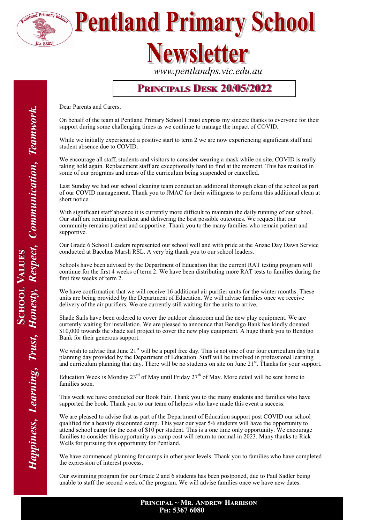

**Pentland Primary School** 

## **Vewsletter**

*www.pentlandps.vic.edu.au*

#### **Principals Desk 20/05/2022**

Dear Parents and Carers,

On behalf of the team at Pentland Primary School I must express my sincere thanks to everyone for their support during some challenging times as we continue to manage the impact of COVID.

While we initially experienced a positive start to term 2 we are now experiencing significant staff and student absence due to COVID.

We encourage all staff, students and visitors to consider wearing a mask while on site. COVID is really taking hold again. Replacement staff are exceptionally hard to find at the moment. This has resulted in some of our programs and areas of the curriculum being suspended or cancelled.

Last Sunday we had our school cleaning team conduct an additional thorough clean of the school as part of our COVID management. Thank you to JMAC for their willingness to perform this additional clean at short notice.

With significant staff absence it is currently more difficult to maintain the daily running of our school. Our staff are remaining resilient and delivering the best possible outcomes. We request that our community remains patient and supportive. Thank you to the many families who remain patient and supportive.

Our Grade 6 School Leaders represented our school well and with pride at the Anzac Day Dawn Service conducted at Bacchus Marsh RSL. A very big thank you to our school leaders.

Schools have been advised by the Department of Education that the current RAT testing program will continue for the first 4 weeks of term 2. We have been distributing more RAT tests to families during the first few weeks of term 2.

We have confirmation that we will receive 16 additional air purifier units for the winter months. These units are being provided by the Department of Education. We will advise families once we receive delivery of the air purifiers. We are currently still waiting for the units to arrive.

Shade Sails have been ordered to cover the outdoor classroom and the new play equipment. We are currently waiting for installation. We are pleased to announce that Bendigo Bank has kindly donated \$10,000 towards the shade sail project to cover the new play equipment. A huge thank you to Bendigo Bank for their generous support.

We wish to advise that June 21st will be a pupil free day. This is not one of our four curriculum day but a planning day provided by the Department of Education. Staff will be involved in professional learning and curriculum planning that day. There will be no students on site on June 21st. Thanks for your support.

Education Week is Monday 23<sup>rd</sup> of May until Friday 27<sup>th</sup> of May. More detail will be sent home to families soon.

This week we have conducted our Book Fair. Thank you to the many students and families who have supported the book. Thank you to our team of helpers who have made this event a success.

We are pleased to advise that as part of the Department of Education support post COVID our school qualified for a heavily discounted camp. This year our year 5/6 students will have the opportunity to attend school camp for the cost of \$10 per student. This is a one time only opportunity. We encourage families to consider this opportunity as camp cost will return to normal in 2023. Many thanks to Rick Wells for pursuing this opportunity for Pentland.

We have commenced planning for camps in other year levels. Thank you to families who have completed the expression of interest process.

Our swimming program for our Grade 2 and 6 students has been postponed, due to Paul Sadler being unable to staff the second week of the program. We will advise families once we have new dates.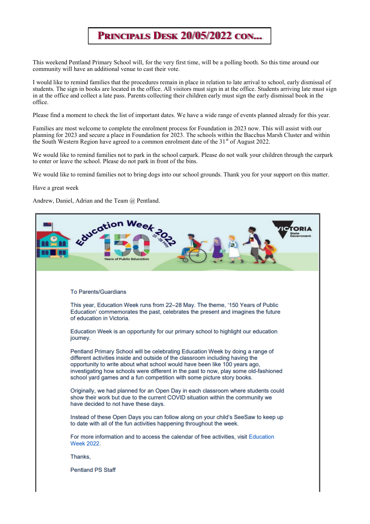#### **Principals Desk 20/05/2022 con...**

This weekend Pentland Primary School will, for the very first time, will be a polling booth. So this time around our community will have an additional venue to cast their vote.

I would like to remind families that the procedures remain in place in relation to late arrival to school, early dismissal of students. The sign in books are located in the office. All visitors must sign in at the office. Students arriving late must sign in at the office and collect a late pass. Parents collecting their children early must sign the early dismissal book in the office.

Please find a moment to check the list of important dates. We have a wide range of events planned already for this year.

Families are most welcome to complete the enrolment process for Foundation in 2023 now. This will assist with our planning for 2023 and secure a place in Foundation for 2023. The schools within the Bacchus Marsh Cluster and within the South Western Region have agreed to a common enrolment date of the 31<sup>st</sup> of August 2022.

We would like to remind families not to park in the school carpark. Please do not walk your children through the carpark to enter or leave the school. Please do not park in front of the bins.

We would like to remind families not to bring dogs into our school grounds. Thank you for your support on this matter.

Have a great week

Andrew, Daniel, Adrian and the Team @ Pentland.

| ducation Week<br>State<br><b>Public Education</b>                                                                                                                                                                                                                                                                                                                                                               |
|-----------------------------------------------------------------------------------------------------------------------------------------------------------------------------------------------------------------------------------------------------------------------------------------------------------------------------------------------------------------------------------------------------------------|
|                                                                                                                                                                                                                                                                                                                                                                                                                 |
| <b>To Parents/Guardians</b>                                                                                                                                                                                                                                                                                                                                                                                     |
| This year, Education Week runs from 22–28 May. The theme, '150 Years of Public<br>Education' commemorates the past, celebrates the present and imagines the future<br>of education in Victoria.                                                                                                                                                                                                                 |
| Education Week is an opportunity for our primary school to highlight our education<br>journey.                                                                                                                                                                                                                                                                                                                  |
| Pentland Primary School will be celebrating Education Week by doing a range of<br>different activities inside and outside of the classroom including having the<br>opportunity to write about what school would have been like 100 years ago,<br>investigating how schools were different in the past to now, play some old-fashioned<br>school yard games and a fun competition with some picture story books. |
| Originally, we had planned for an Open Day in each classroom where students could<br>show their work but due to the current COVID situation within the community we<br>have decided to not have these days.                                                                                                                                                                                                     |
| Instead of these Open Days you can follow along on your child's SeeSaw to keep up<br>to date with all of the fun activities happening throughout the week.                                                                                                                                                                                                                                                      |
| For more information and to access the calendar of free activities, visit Education<br><b>Week 2022.</b>                                                                                                                                                                                                                                                                                                        |
| Thanks.                                                                                                                                                                                                                                                                                                                                                                                                         |
| <b>Pentland PS Staff</b>                                                                                                                                                                                                                                                                                                                                                                                        |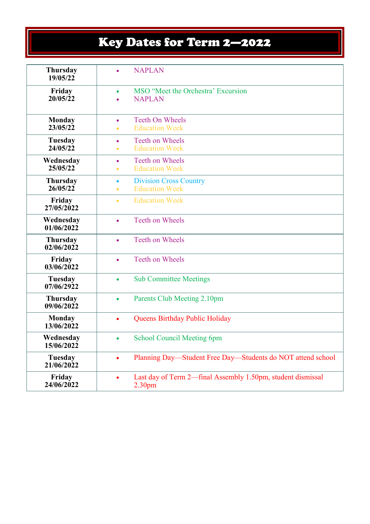### Key Dates for Term 2—2022

| <b>Thursday</b><br>19/05/22   | $\bullet$              | <b>NAPLAN</b>                                                                     |
|-------------------------------|------------------------|-----------------------------------------------------------------------------------|
| Friday<br>20/05/22            |                        | MSO "Meet the Orchestra" Excursion<br><b>NAPLAN</b>                               |
| <b>Monday</b><br>23/05/22     | $\bullet$<br>$\bullet$ | <b>Teeth On Wheels</b><br><b>Education Week</b>                                   |
| Tuesday<br>24/05/22           | $\bullet$<br>$\bullet$ | Teeth on Wheels<br><b>Education Week</b>                                          |
| Wednesday<br>25/05/22         | $\bullet$<br>$\bullet$ | Teeth on Wheels<br><b>Education Week</b>                                          |
| <b>Thursday</b><br>26/05/22   | $\bullet$<br>$\bullet$ | <b>Division Cross Country</b><br><b>Education Week</b>                            |
| Friday<br>27/05/2022          | $\bullet$              | <b>Education Week</b>                                                             |
| Wednesday<br>01/06/2022       | $\bullet$              | Teeth on Wheels                                                                   |
| <b>Thursday</b><br>02/06/2022 | $\bullet$              | Teeth on Wheels                                                                   |
| Friday<br>03/06/2022          | $\bullet$              | Teeth on Wheels                                                                   |
| Tuesday<br>07/06/2922         | $\bullet$              | <b>Sub Committee Meetings</b>                                                     |
| <b>Thursday</b><br>09/06/2022 | $\bullet$              | Parents Club Meeting 2.10pm                                                       |
| <b>Monday</b><br>13/06/2022   | $\bullet$              | Queens Birthday Public Holiday                                                    |
| Wednesday<br>15/06/2022       | ٠                      | <b>School Council Meeting 6pm</b>                                                 |
| <b>Tuesday</b><br>21/06/2022  | $\bullet$              | Planning Day—Student Free Day—Students do NOT attend school                       |
| Friday<br>24/06/2022          |                        | Last day of Term 2—final Assembly 1.50pm, student dismissal<br>2.30 <sub>pm</sub> |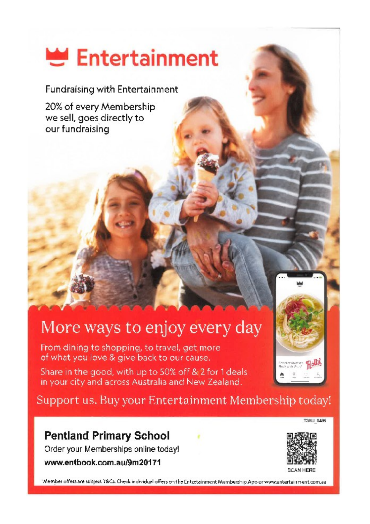# Entertainment

**Fundraising with Entertainment** 

20% of every Membership we sell, goes directly to our fundraising

### More ways to enjoy every day

From dining to shopping, to travel, get more of what you love & give back to our cause.

Share in the good, with up to 50% off & 2 for 1 deals in your city and across Australia and New Zealand.

Support us. Buy your Entertainment Membership today!

#### **Pentland Primary School**

Order your Memberships online today!

www.entbook.com.au/9m20171



T3AU 0485

"Member offers are subject T&Cs. Check individual offers on the Entertainment Membership App or www.entertainment.com.au